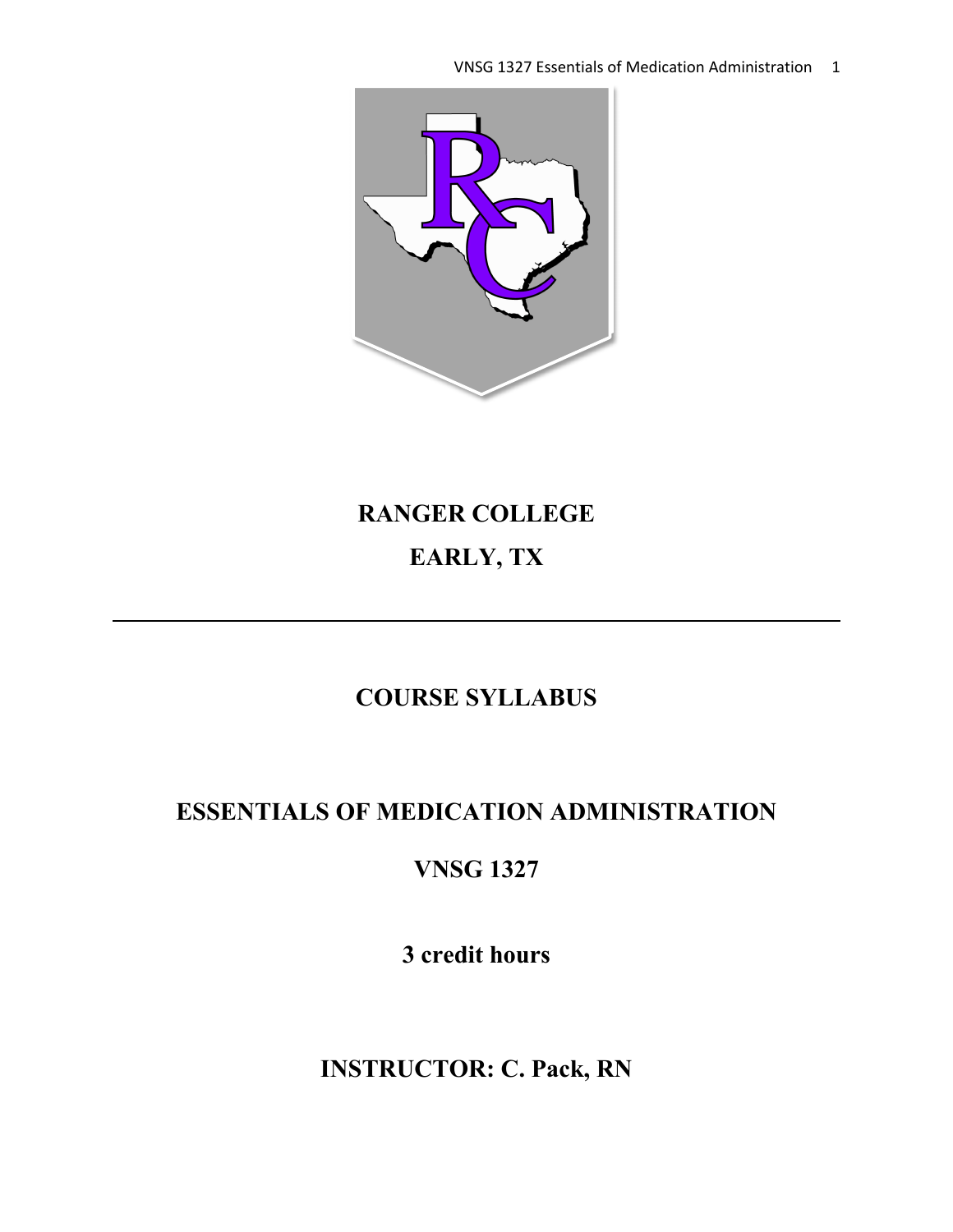VNSG 1327 Essentials of Medication Administration 1



# **RANGER COLLEGE EARLY, TX**

# **COURSE SYLLABUS**

# **ESSENTIALS OF MEDICATION ADMINISTRATION**

# **VNSG 1327**

**3 credit hours**

**INSTRUCTOR: C. Pack, RN**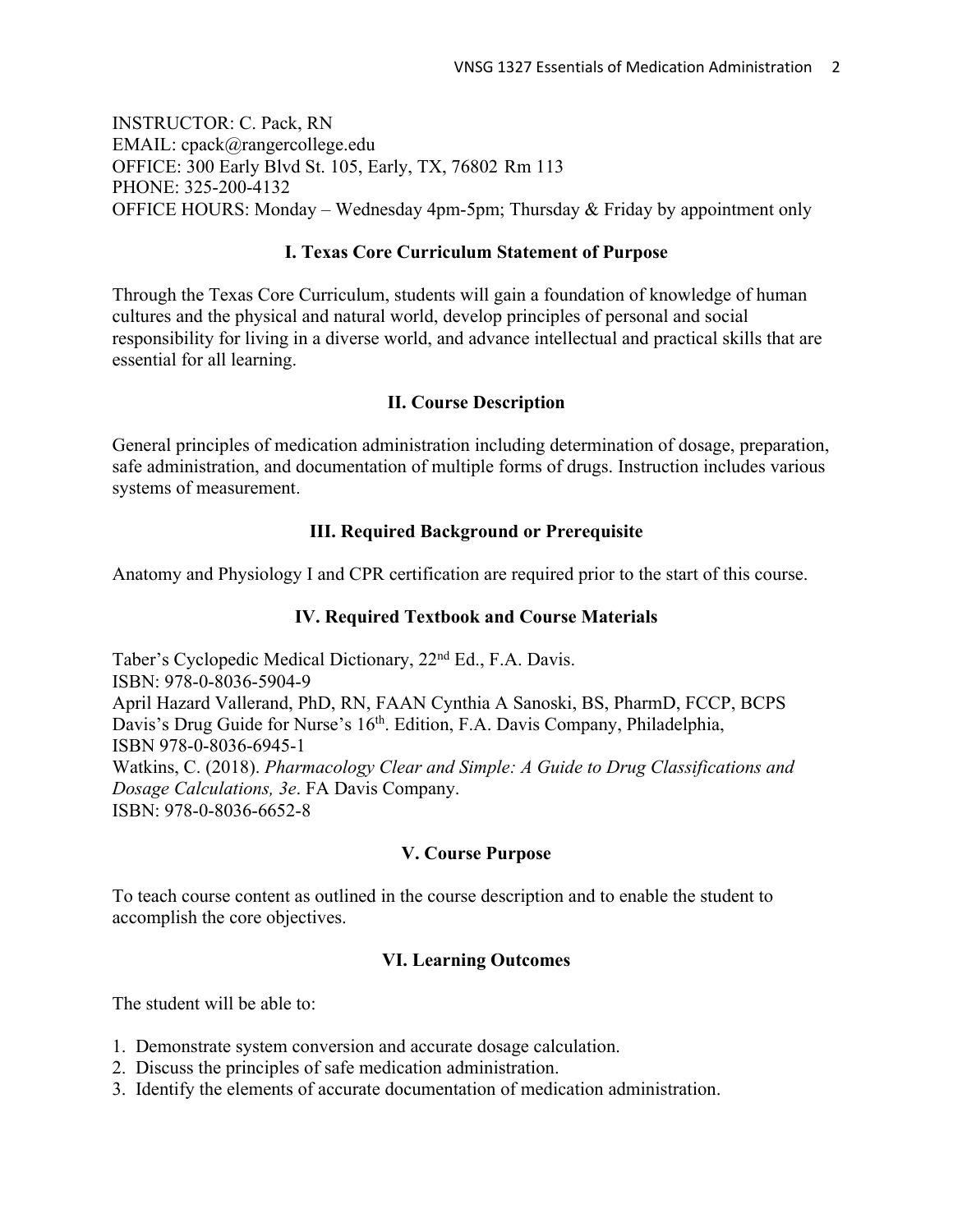INSTRUCTOR: C. Pack, RN EMAIL: cpack@rangercollege.edu OFFICE: 300 Early Blvd St. 105, Early, TX, 76802 Rm 113 PHONE: 325-200-4132 OFFICE HOURS: Monday – Wednesday 4pm-5pm; Thursday & Friday by appointment only

#### **I. Texas Core Curriculum Statement of Purpose**

Through the Texas Core Curriculum, students will gain a foundation of knowledge of human cultures and the physical and natural world, develop principles of personal and social responsibility for living in a diverse world, and advance intellectual and practical skills that are essential for all learning.

### **II. Course Description**

General principles of medication administration including determination of dosage, preparation, safe administration, and documentation of multiple forms of drugs. Instruction includes various systems of measurement.

#### **III. Required Background or Prerequisite**

Anatomy and Physiology I and CPR certification are required prior to the start of this course.

#### **IV. Required Textbook and Course Materials**

Taber's Cyclopedic Medical Dictionary, 22nd Ed., F.A. Davis. ISBN: 978-0-8036-5904-9 April Hazard Vallerand, PhD, RN, FAAN Cynthia A Sanoski, BS, PharmD, FCCP, BCPS Davis's Drug Guide for Nurse's 16<sup>th</sup>. Edition, F.A. Davis Company, Philadelphia, ISBN 978-0-8036-6945-1 Watkins, C. (2018). *Pharmacology Clear and Simple: A Guide to Drug Classifications and Dosage Calculations, 3e*. FA Davis Company. ISBN: 978-0-8036-6652-8

#### **V. Course Purpose**

To teach course content as outlined in the course description and to enable the student to accomplish the core objectives.

#### **VI. Learning Outcomes**

The student will be able to:

- 1. Demonstrate system conversion and accurate dosage calculation.
- 2. Discuss the principles of safe medication administration.
- 3. Identify the elements of accurate documentation of medication administration.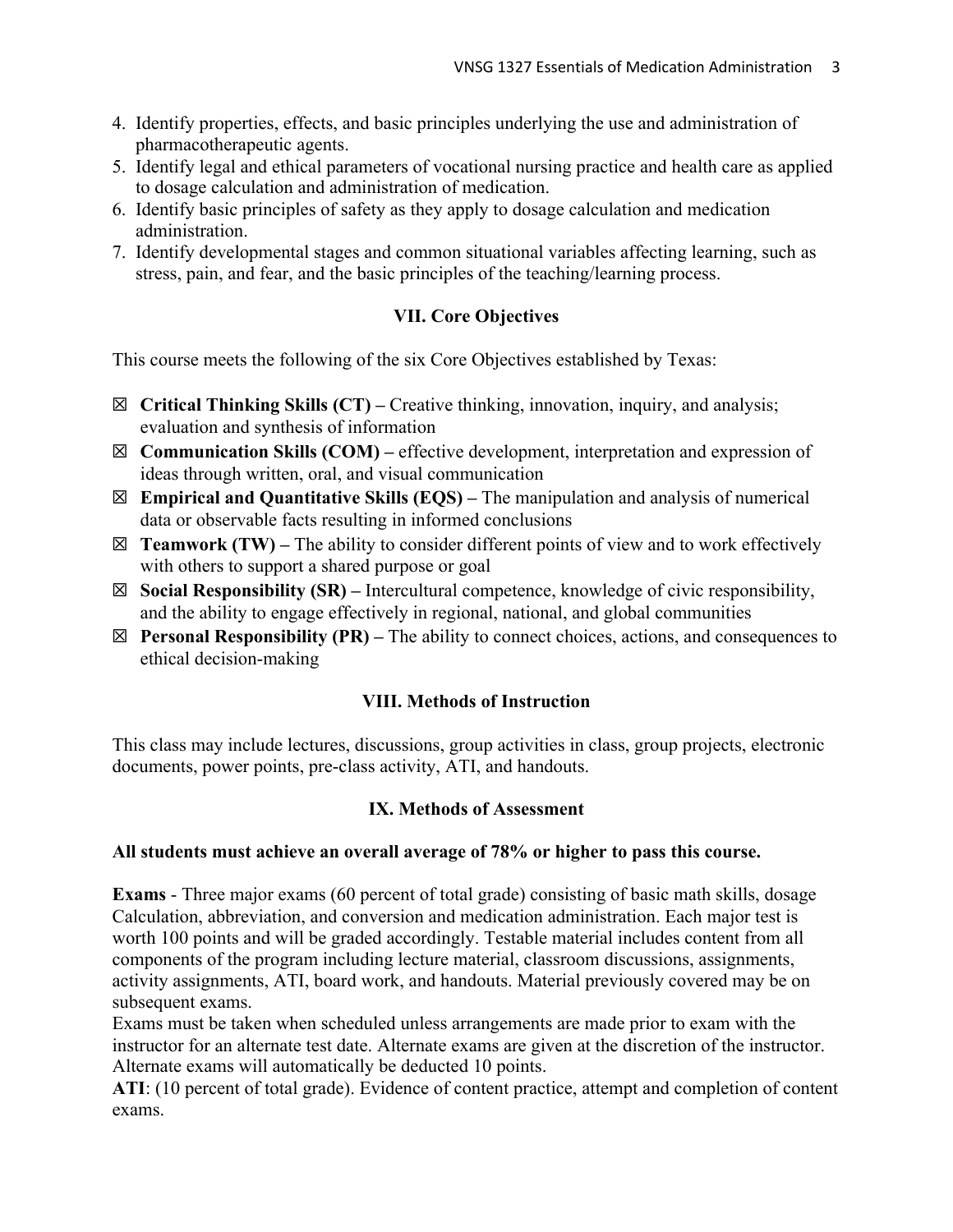- 4. Identify properties, effects, and basic principles underlying the use and administration of pharmacotherapeutic agents.
- 5. Identify legal and ethical parameters of vocational nursing practice and health care as applied to dosage calculation and administration of medication.
- 6. Identify basic principles of safety as they apply to dosage calculation and medication administration.
- 7. Identify developmental stages and common situational variables affecting learning, such as stress, pain, and fear, and the basic principles of the teaching/learning process.

# **VII. Core Objectives**

This course meets the following of the six Core Objectives established by Texas:

- ☒ **Critical Thinking Skills (CT) –** Creative thinking, innovation, inquiry, and analysis; evaluation and synthesis of information
- ☒ **Communication Skills (COM) –** effective development, interpretation and expression of ideas through written, oral, and visual communication
- ☒ **Empirical and Quantitative Skills (EQS) –** The manipulation and analysis of numerical data or observable facts resulting in informed conclusions
- $\boxtimes$  **Teamwork (TW)** The ability to consider different points of view and to work effectively with others to support a shared purpose or goal
- ☒ **Social Responsibility (SR) –** Intercultural competence, knowledge of civic responsibility, and the ability to engage effectively in regional, national, and global communities
- ☒ **Personal Responsibility (PR) –** The ability to connect choices, actions, and consequences to ethical decision-making

# **VIII. Methods of Instruction**

This class may include lectures, discussions, group activities in class, group projects, electronic documents, power points, pre-class activity, ATI, and handouts.

# **IX. Methods of Assessment**

# **All students must achieve an overall average of 78% or higher to pass this course.**

**Exams** - Three major exams (60 percent of total grade) consisting of basic math skills, dosage Calculation, abbreviation, and conversion and medication administration. Each major test is worth 100 points and will be graded accordingly. Testable material includes content from all components of the program including lecture material, classroom discussions, assignments, activity assignments, ATI, board work, and handouts. Material previously covered may be on subsequent exams.

Exams must be taken when scheduled unless arrangements are made prior to exam with the instructor for an alternate test date. Alternate exams are given at the discretion of the instructor. Alternate exams will automatically be deducted 10 points.

**ATI**: (10 percent of total grade). Evidence of content practice, attempt and completion of content exams.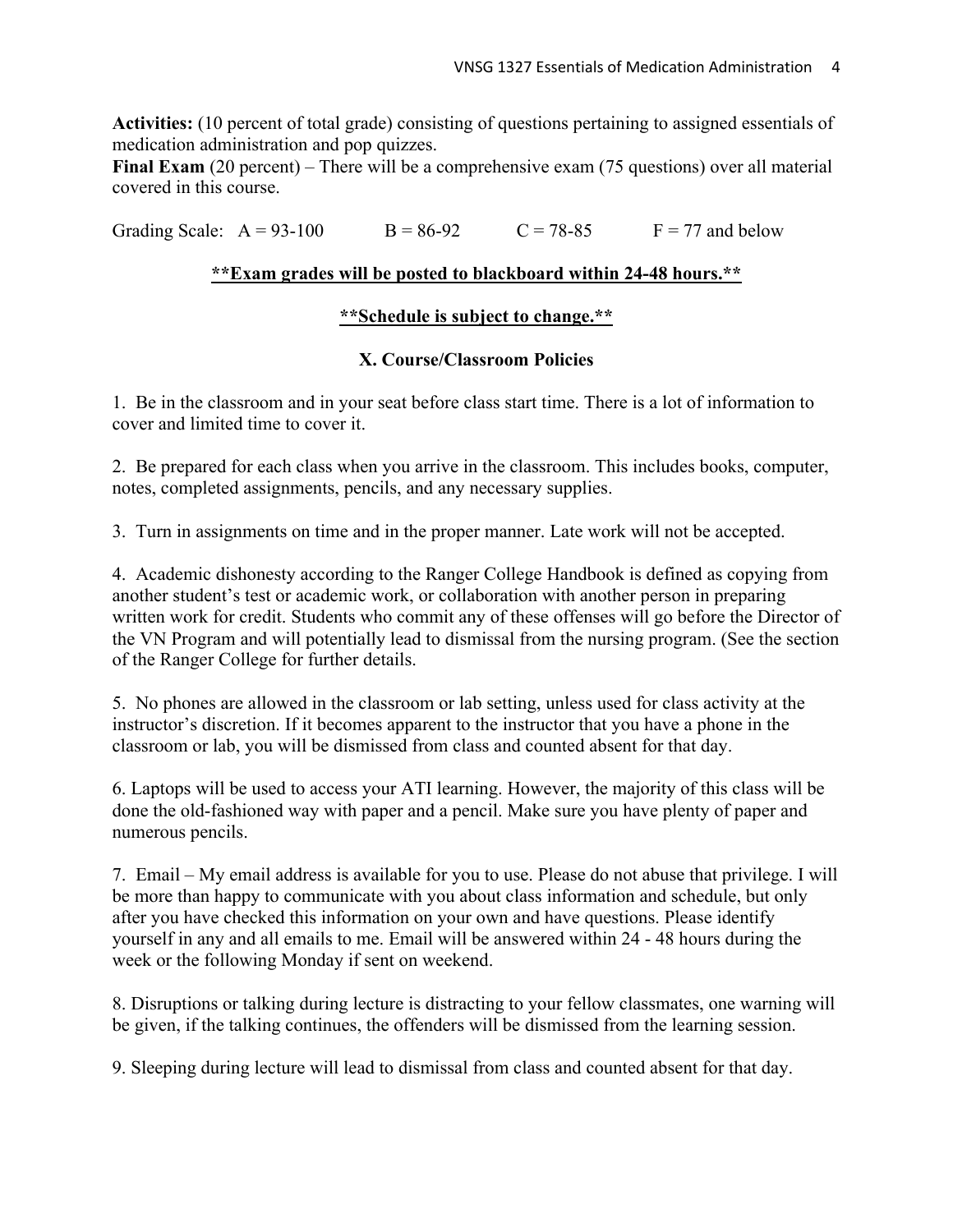**Activities:** (10 percent of total grade) consisting of questions pertaining to assigned essentials of medication administration and pop quizzes.

**Final Exam** (20 percent) – There will be a comprehensive exam (75 questions) over all material covered in this course.

Grading Scale:  $A = 93-100$  B = 86-92 C = 78-85 F = 77 and below

# **\*\*Exam grades will be posted to blackboard within 24-48 hours.\*\***

### **\*\*Schedule is subject to change.\*\***

# **X. Course/Classroom Policies**

1. Be in the classroom and in your seat before class start time. There is a lot of information to cover and limited time to cover it.

2. Be prepared for each class when you arrive in the classroom. This includes books, computer, notes, completed assignments, pencils, and any necessary supplies.

3. Turn in assignments on time and in the proper manner. Late work will not be accepted.

4. Academic dishonesty according to the Ranger College Handbook is defined as copying from another student's test or academic work, or collaboration with another person in preparing written work for credit. Students who commit any of these offenses will go before the Director of the VN Program and will potentially lead to dismissal from the nursing program. (See the section of the Ranger College for further details.

5. No phones are allowed in the classroom or lab setting, unless used for class activity at the instructor's discretion. If it becomes apparent to the instructor that you have a phone in the classroom or lab, you will be dismissed from class and counted absent for that day.

6. Laptops will be used to access your ATI learning. However, the majority of this class will be done the old-fashioned way with paper and a pencil. Make sure you have plenty of paper and numerous pencils.

7. Email – My email address is available for you to use. Please do not abuse that privilege. I will be more than happy to communicate with you about class information and schedule, but only after you have checked this information on your own and have questions. Please identify yourself in any and all emails to me. Email will be answered within 24 - 48 hours during the week or the following Monday if sent on weekend.

8. Disruptions or talking during lecture is distracting to your fellow classmates, one warning will be given, if the talking continues, the offenders will be dismissed from the learning session.

9. Sleeping during lecture will lead to dismissal from class and counted absent for that day.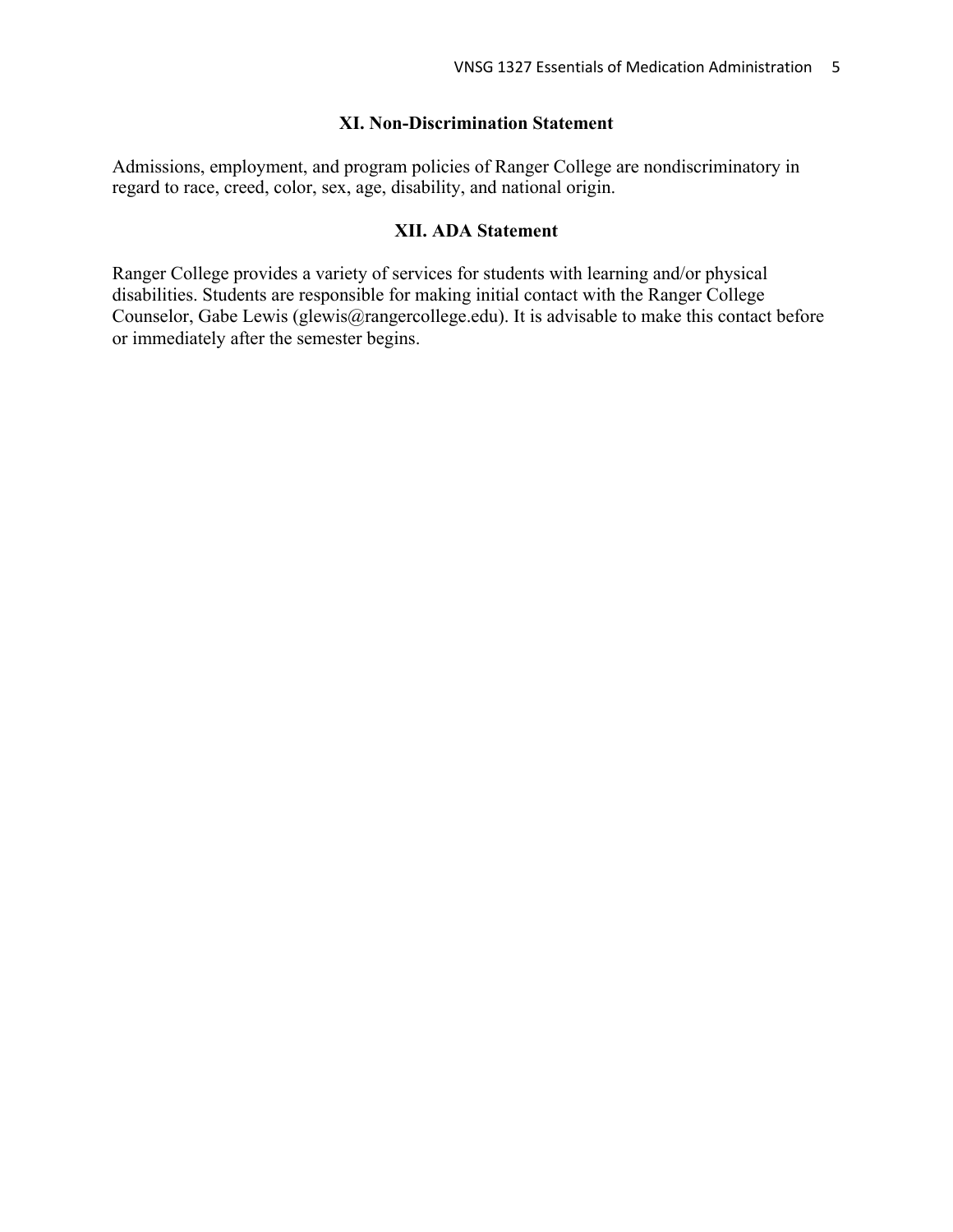#### **XI. Non-Discrimination Statement**

Admissions, employment, and program policies of Ranger College are nondiscriminatory in regard to race, creed, color, sex, age, disability, and national origin.

#### **XII. ADA Statement**

Ranger College provides a variety of services for students with learning and/or physical disabilities. Students are responsible for making initial contact with the Ranger College Counselor, Gabe Lewis (glewis@rangercollege.edu). It is advisable to make this contact before or immediately after the semester begins.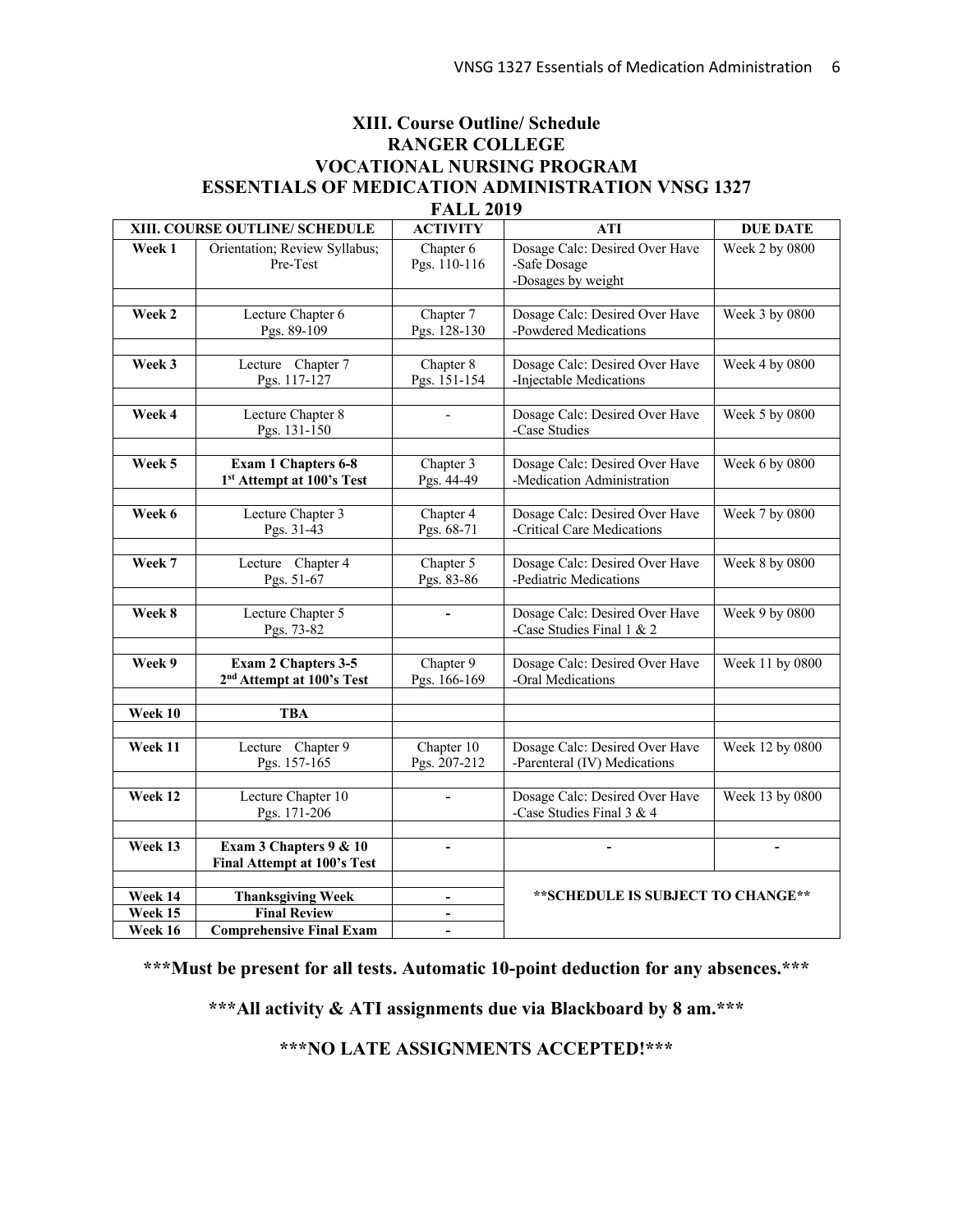### **XIII. Course Outline/ Schedule RANGER COLLEGE VOCATIONAL NURSING PROGRAM ESSENTIALS OF MEDICATION ADMINISTRATION VNSG 1327 FALL 2019**

| XIII. COURSE OUTLINE/ SCHEDULE |                                       | <b>ACTIVITY</b>              | <b>ATI</b>                                                  | <b>DUE DATE</b>       |
|--------------------------------|---------------------------------------|------------------------------|-------------------------------------------------------------|-----------------------|
| Week 1                         | Orientation; Review Syllabus;         | Chapter 6                    | Dosage Calc: Desired Over Have                              | <b>Week 2 by 0800</b> |
|                                | Pre-Test                              | Pgs. 110-116                 | -Safe Dosage                                                |                       |
|                                |                                       |                              | -Dosages by weight                                          |                       |
|                                |                                       |                              |                                                             |                       |
| Week 2                         | Lecture Chapter 6                     | Chapter 7                    | Dosage Calc: Desired Over Have                              | Week 3 by 0800        |
|                                | Pgs. 89-109                           | Pgs. 128-130                 | -Powdered Medications                                       |                       |
|                                |                                       |                              |                                                             |                       |
| Week 3                         | Lecture Chapter 7                     | Chapter 8                    | Dosage Calc: Desired Over Have                              | Week 4 by 0800        |
|                                | Pgs. 117-127                          | Pgs. 151-154                 | -Injectable Medications                                     |                       |
|                                |                                       |                              |                                                             |                       |
| Week 4                         | Lecture Chapter 8                     | $\overline{a}$               | Dosage Calc: Desired Over Have                              | Week 5 by 0800        |
|                                | Pgs. 131-150                          |                              | -Case Studies                                               |                       |
|                                |                                       |                              |                                                             |                       |
| Week 5                         | Exam 1 Chapters 6-8                   | Chapter 3                    | Dosage Calc: Desired Over Have                              | Week 6 by 0800        |
|                                | 1st Attempt at 100's Test             | Pgs. 44-49                   | -Medication Administration                                  |                       |
|                                |                                       |                              |                                                             |                       |
| Week 6                         | Lecture Chapter 3                     | Chapter 4                    | Dosage Calc: Desired Over Have                              | Week 7 by 0800        |
|                                | Pgs. 31-43                            | Pgs. 68-71                   | -Critical Care Medications                                  |                       |
|                                |                                       |                              |                                                             |                       |
| Week 7                         | Lecture Chapter 4                     | Chapter 5                    | Dosage Calc: Desired Over Have                              | Week 8 by 0800        |
|                                | Pgs. 51-67                            | Pgs. 83-86                   | -Pediatric Medications                                      |                       |
| Week 8                         |                                       |                              |                                                             |                       |
|                                | Lecture Chapter 5<br>Pgs. 73-82       |                              | Dosage Calc: Desired Over Have<br>-Case Studies Final 1 & 2 | Week 9 by 0800        |
|                                |                                       |                              |                                                             |                       |
| Week 9                         | Exam 2 Chapters 3-5                   | Chapter 9                    | Dosage Calc: Desired Over Have                              | Week 11 by 0800       |
|                                | 2 <sup>nd</sup> Attempt at 100's Test | Pgs. 166-169                 | -Oral Medications                                           |                       |
|                                |                                       |                              |                                                             |                       |
| Week 10                        | <b>TBA</b>                            |                              |                                                             |                       |
|                                |                                       |                              |                                                             |                       |
| Week 11                        | Lecture Chapter 9                     | Chapter 10                   | Dosage Calc: Desired Over Have                              | Week 12 by 0800       |
|                                | Pgs. 157-165                          | Pgs. 207-212                 | -Parenteral (IV) Medications                                |                       |
|                                |                                       |                              |                                                             |                       |
| Week 12                        | Lecture Chapter 10                    | L,                           | Dosage Calc: Desired Over Have                              | Week 13 by 0800       |
|                                | Pgs. 171-206                          |                              | -Case Studies Final 3 & 4                                   |                       |
|                                |                                       |                              |                                                             |                       |
| Week 13                        | Exam 3 Chapters 9 & 10                | $\overline{a}$               | L,                                                          |                       |
|                                | Final Attempt at 100's Test           |                              |                                                             |                       |
|                                |                                       |                              |                                                             |                       |
| Week 14                        | <b>Thanksgiving Week</b>              | $\qquad \qquad \blacksquare$ | **SCHEDULE IS SUBJECT TO CHANGE**                           |                       |
| Week 15                        | <b>Final Review</b>                   | $\qquad \qquad \blacksquare$ |                                                             |                       |
| Week 16                        | <b>Comprehensive Final Exam</b>       | $\blacksquare$               |                                                             |                       |

**\*\*\*Must be present for all tests. Automatic 10-point deduction for any absences.\*\*\***

**\*\*\*All activity & ATI assignments due via Blackboard by 8 am.\*\*\***

**\*\*\*NO LATE ASSIGNMENTS ACCEPTED!\*\*\***